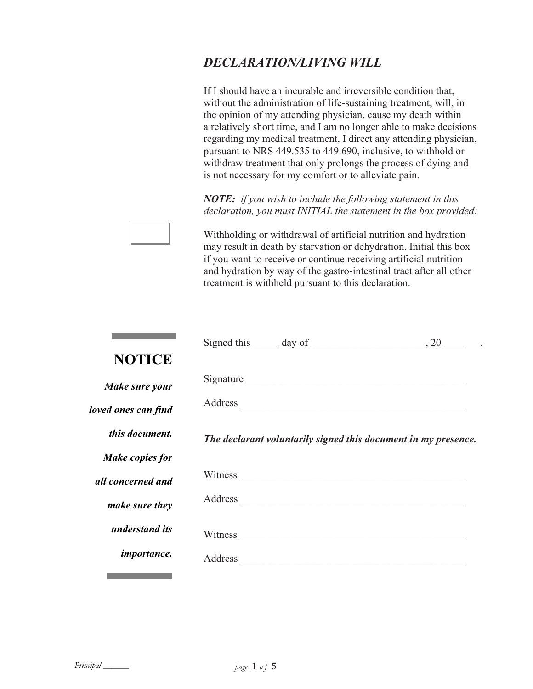## *DECLARATION/LIVING WILL*

If I should have an incurable and irreversible condition that, without the administration of life-sustaining treatment, will, in the opinion of my attending physician, cause my death within a relatively short time, and I am no longer able to make decisions regarding my medical treatment, I direct any attending physician, pursuant to NRS 449.535 to 449.690, inclusive, to withhold or withdraw treatment that only prolongs the process of dying and is not necessary for my comfort or to alleviate pain.

*NOTE: if you wish to include the following statement in this declaration, you must INITIAL the statement in the box provided:*

Withholding or withdrawal of artificial nutrition and hydration may result in death by starvation or dehydration. Initial this box if you want to receive or continue receiving artificial nutrition and hydration by way of the gastro-intestinal tract after all other treatment is withheld pursuant to this declaration.

|                     | Signed this $\_\_\_$ day of $\_\_\_\_\_$ , 20 $\_\_\_\_$ .     |  |
|---------------------|----------------------------------------------------------------|--|
| <b>NOTICE</b>       |                                                                |  |
| Make sure your      |                                                                |  |
| loved ones can find |                                                                |  |
| this document.      | The declarant voluntarily signed this document in my presence. |  |
| Make copies for     |                                                                |  |
| all concerned and   |                                                                |  |
| make sure they      | Address                                                        |  |
| understand its      |                                                                |  |
| <i>importance.</i>  |                                                                |  |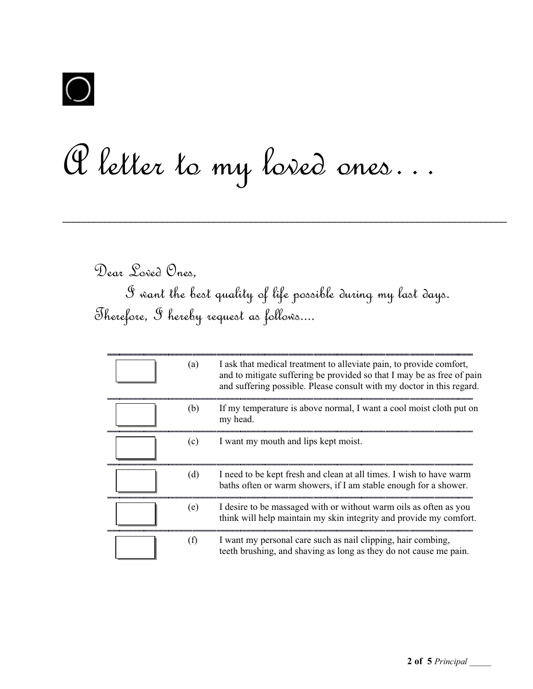

## A letter to my loved ones…

Dear Loved Ones,

I want the best quality of life possible during my last days. Therefore, I hereby request as follows....

 $\mathcal{L}_\mathcal{L} = \mathcal{L}_\mathcal{L} = \mathcal{L}_\mathcal{L} = \mathcal{L}_\mathcal{L} = \mathcal{L}_\mathcal{L} = \mathcal{L}_\mathcal{L} = \mathcal{L}_\mathcal{L} = \mathcal{L}_\mathcal{L} = \mathcal{L}_\mathcal{L} = \mathcal{L}_\mathcal{L} = \mathcal{L}_\mathcal{L} = \mathcal{L}_\mathcal{L} = \mathcal{L}_\mathcal{L} = \mathcal{L}_\mathcal{L} = \mathcal{L}_\mathcal{L} = \mathcal{L}_\mathcal{L} = \mathcal{L}_\mathcal{L}$ 

| (a) | I ask that medical treatment to alleviate pain, to provide comfort,<br>and to mitigate suffering be provided so that I may be as free of pain<br>and suffering possible. Please consult with my doctor in this regard. |
|-----|------------------------------------------------------------------------------------------------------------------------------------------------------------------------------------------------------------------------|
| (b) | If my temperature is above normal, I want a cool moist cloth put on<br>my head.                                                                                                                                        |
| (c) | I want my mouth and lips kept moist.                                                                                                                                                                                   |
| (d) | I need to be kept fresh and clean at all times. I wish to have warm<br>baths often or warm showers, if I am stable enough for a shower.                                                                                |
| (e) | I desire to be massaged with or without warm oils as often as you<br>think will help maintain my skin integrity and provide my comfort.                                                                                |
| (f) | I want my personal care such as nail clipping, hair combing,<br>teeth brushing, and shaving as long as they do not cause me pain.                                                                                      |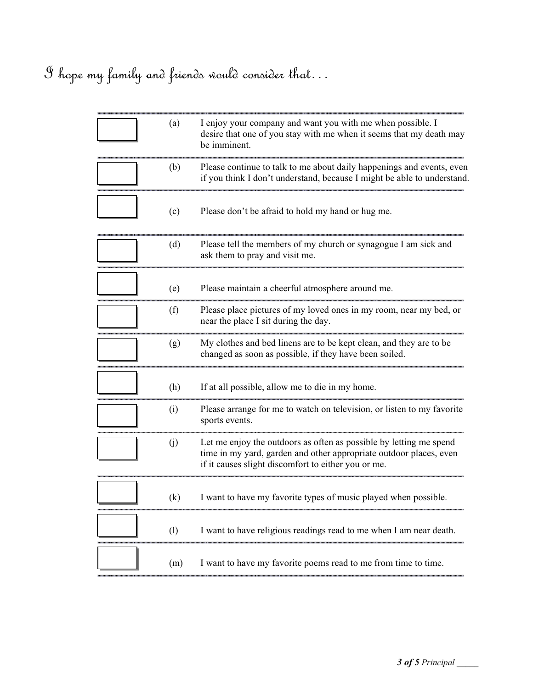## I hope my family and friends would consider that…

| (a) | I enjoy your company and want you with me when possible. I<br>desire that one of you stay with me when it seems that my death may<br>be imminent.                                               |
|-----|-------------------------------------------------------------------------------------------------------------------------------------------------------------------------------------------------|
| (b) | Please continue to talk to me about daily happenings and events, even<br>if you think I don't understand, because I might be able to understand.                                                |
| (c) | Please don't be afraid to hold my hand or hug me.                                                                                                                                               |
| (d) | Please tell the members of my church or synagogue I am sick and<br>ask them to pray and visit me.                                                                                               |
| (e) | Please maintain a cheerful atmosphere around me.                                                                                                                                                |
| (f) | Please place pictures of my loved ones in my room, near my bed, or<br>near the place I sit during the day.                                                                                      |
| (g) | My clothes and bed linens are to be kept clean, and they are to be<br>changed as soon as possible, if they have been soiled.                                                                    |
| (h) | If at all possible, allow me to die in my home.                                                                                                                                                 |
| (i) | Please arrange for me to watch on television, or listen to my favorite<br>sports events.                                                                                                        |
| (j) | Let me enjoy the outdoors as often as possible by letting me spend<br>time in my yard, garden and other appropriate outdoor places, even<br>if it causes slight discomfort to either you or me. |
| (k) | I want to have my favorite types of music played when possible.                                                                                                                                 |
| (1) | I want to have religious readings read to me when I am near death.                                                                                                                              |
| (m) | I want to have my favorite poems read to me from time to time.                                                                                                                                  |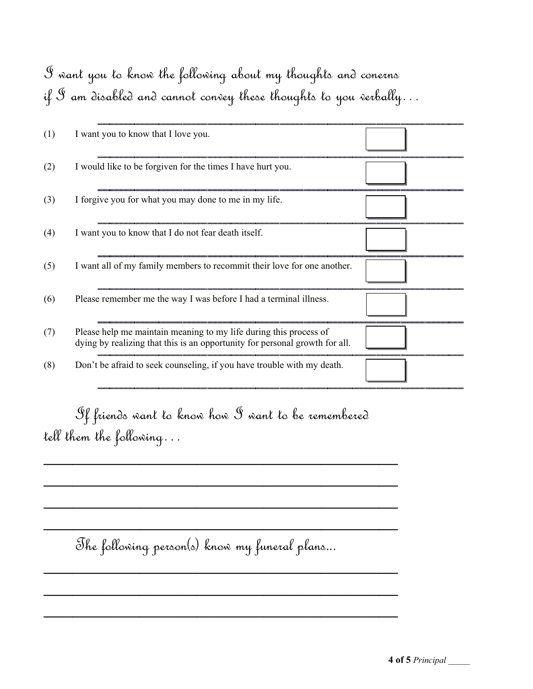## I want you to know the following about my thoughts and conerns if  $\mathcal S$  am disabled and cannot convey these thoughts to you verbally...

| (1) | I want you to know that I love you.                                                                                                              |  |
|-----|--------------------------------------------------------------------------------------------------------------------------------------------------|--|
| (2) | I would like to be forgiven for the times I have hurt you.                                                                                       |  |
| (3) | I forgive you for what you may done to me in my life.                                                                                            |  |
| (4) | I want you to know that I do not fear death itself.                                                                                              |  |
| (5) | I want all of my family members to recommit their love for one another.                                                                          |  |
| (6) | Please remember me the way I was before I had a terminal illness.                                                                                |  |
| (7) | Please help me maintain meaning to my life during this process of<br>dying by realizing that this is an opportunity for personal growth for all. |  |
| (8) | Don't be afraid to seek counseling, if you have trouble with my death.                                                                           |  |

 If friends want to know how I want to be remembered tell them the following…

 $\mathcal{L}_\text{max}$  and  $\mathcal{L}_\text{max}$  and  $\mathcal{L}_\text{max}$  are the set of  $\mathcal{L}_\text{max}$ 

 $\mathcal{L}_\text{max}$  and  $\mathcal{L}_\text{max}$  and  $\mathcal{L}_\text{max}$  are the set of  $\mathcal{L}_\text{max}$ 

 $\mathcal{L}_\text{max}$  , and the contract of the contract of the contract of the contract of the contract of the contract of

 $\mathcal{L}_\text{max}$  , and the contract of the contract of the contract of the contract of the contract of the contract of

 $\mathcal{L}_\text{max}$  and  $\mathcal{L}_\text{max}$  and  $\mathcal{L}_\text{max}$  are the set of  $\mathcal{L}_\text{max}$ 

 $\mathcal{L}_\text{max}$  and  $\mathcal{L}_\text{max}$  and  $\mathcal{L}_\text{max}$  are the set of  $\mathcal{L}_\text{max}$ 

 $\mathcal{L}_\text{max}$  and  $\mathcal{L}_\text{max}$  and  $\mathcal{L}_\text{max}$  are the set of  $\mathcal{L}_\text{max}$ 

The following person(s) know my funeral plans...